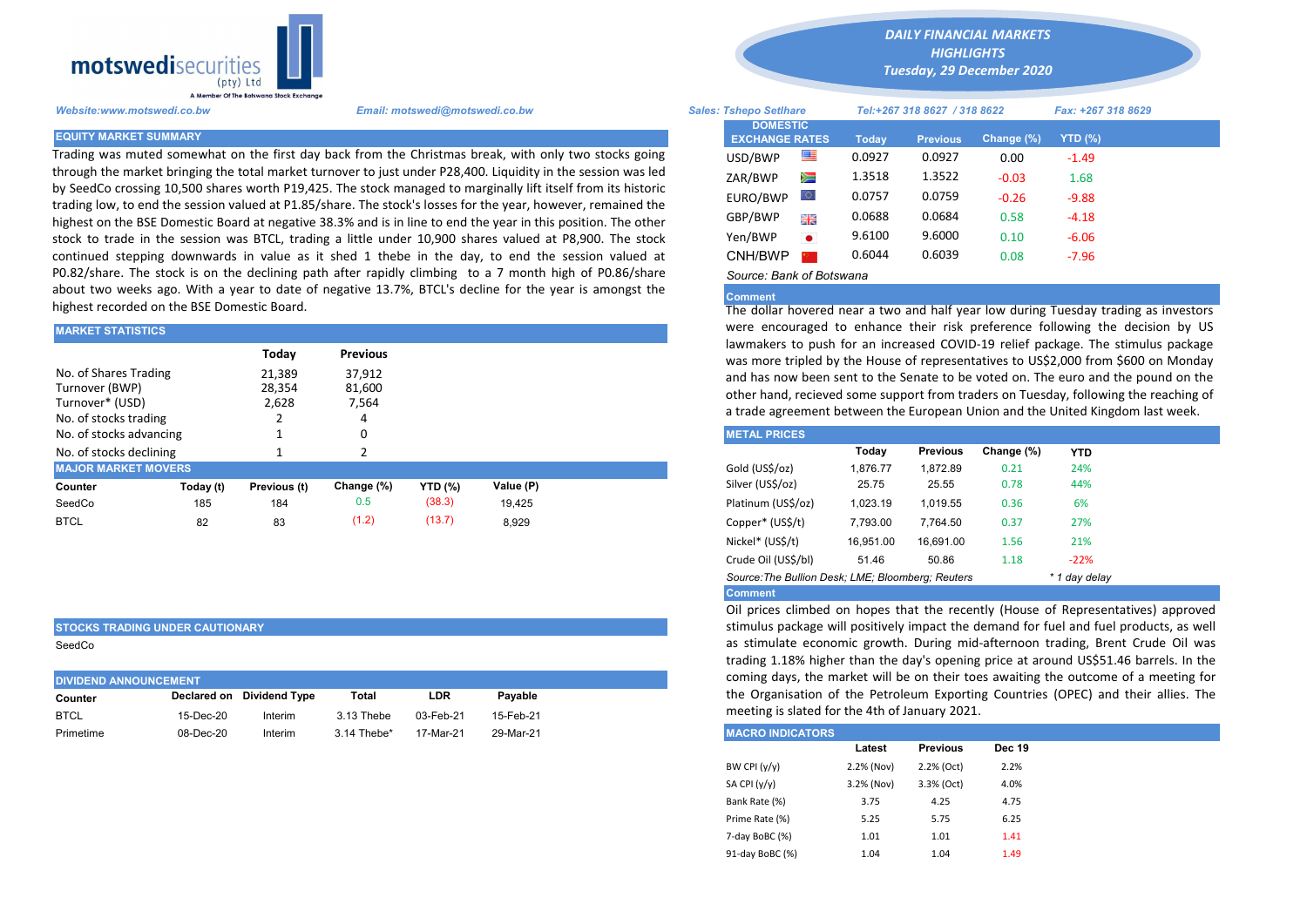

Trading was muted somewhat on the first day back from the Christmas break, with only two stocks going through the market bringing the total market turnover to just under P28,400. Liquidity in the session was led by SeedCo crossing 10,500 shares worth P19,425. The stock managed to marginally lift itself from its historic trading low, to end the session valued at P1.85/share. The stock's losses for the year, however, remained the highest on the BSE Domestic Board at negative 38.3% and is in line to end the year in this position. The other stock to trade in the session was BTCL, trading a little under 10,900 shares valued at P8,900. The stock continued stepping downwards in value as it shed 1 thebe in the day, to end the session valued at P0.82/share. The stock is on the declining path after rapidly climbing to a 7 month high of P0.86/share about two weeks ago. With a year to date of negative 13.7%, BTCL's decline for the year is amongst the highest recorded on the BSE Domestic Board.

| <b>MARKET STATISTICS</b>   |                          |              |            |                | were encouraged to enhance their risk preference following the |  |                                                                     |                                                                                                                                           |                 |            |            |  |  |  |  |  |
|----------------------------|--------------------------|--------------|------------|----------------|----------------------------------------------------------------|--|---------------------------------------------------------------------|-------------------------------------------------------------------------------------------------------------------------------------------|-----------------|------------|------------|--|--|--|--|--|
|                            | Todav<br><b>Previous</b> |              |            |                |                                                                |  |                                                                     | lawmakers to push for an increased COVID-19 relief package. The s<br>was more tripled by the House of representatives to US\$2,000 from ! |                 |            |            |  |  |  |  |  |
| No. of Shares Trading      |                          | 21,389       | 37,912     |                |                                                                |  | and has now been sent to the Senate to be voted on. The euro and t  |                                                                                                                                           |                 |            |            |  |  |  |  |  |
| Turnover (BWP)             |                          | 28,354       | 81,600     |                |                                                                |  | other hand, recieved some support from traders on Tuesday, followin |                                                                                                                                           |                 |            |            |  |  |  |  |  |
| Turnover* (USD)            |                          | 2,628        | 7,564      |                |                                                                |  |                                                                     |                                                                                                                                           |                 |            |            |  |  |  |  |  |
| No. of stocks trading      |                          |              |            |                |                                                                |  | a trade agreement between the European Union and the United Kingo   |                                                                                                                                           |                 |            |            |  |  |  |  |  |
| No. of stocks advancing    |                          |              | 0          |                |                                                                |  | <b>METAL PRICES</b>                                                 |                                                                                                                                           |                 |            |            |  |  |  |  |  |
| No. of stocks declining    |                          |              |            |                |                                                                |  |                                                                     | Today                                                                                                                                     | <b>Previous</b> | Change (%) | <b>YTD</b> |  |  |  |  |  |
| <b>MAJOR MARKET MOVERS</b> |                          |              |            |                |                                                                |  | Gold (US\$/oz)                                                      | 1,876.77                                                                                                                                  | 1.872.89        | 0.21       | 24%        |  |  |  |  |  |
| Counter                    | Today (t)                | Previous (t) | Change (%) | <b>YTD</b> (%) | Value (P)                                                      |  | Silver (US\$/oz)                                                    | 25.75                                                                                                                                     | 25.55           | 0.78       | 44%        |  |  |  |  |  |
| SeedCo                     | 185                      | 184          | 0.5        | (38.3)         | 19.425                                                         |  | Platinum (US\$/oz)                                                  | 1.023.19                                                                                                                                  | 1.019.55        | 0.36       | 6%         |  |  |  |  |  |
| <b>BTCL</b>                | 82                       | 83           | (1.2)      | (13.7)         | 8.929                                                          |  | Copper* (US\$/t)                                                    | 7,793.00                                                                                                                                  | 7.764.50        | 0.37       | 27%        |  |  |  |  |  |
|                            |                          |              |            |                |                                                                |  |                                                                     |                                                                                                                                           |                 |            |            |  |  |  |  |  |

## STOCKS TRADING UNDER CAUTIONARY

SeedCo

| <b>DIVIDEND ANNOUNCEMENT</b> | coming days, the n |                           |               |           |           |                         |
|------------------------------|--------------------|---------------------------|---------------|-----------|-----------|-------------------------|
| Counter                      |                    | Declared on Dividend Type | Total         | LDR       | Pavable   | the Organisation c      |
| <b>BTCL</b>                  | 15-Dec-20          | Interim                   | 3.13 Thebe    | 03-Feb-21 | 15-Feb-21 | meeting is slated fo    |
| Primetime                    | 08-Dec-20          | Interim                   | $3.14$ Thebe* | 17-Mar-21 | 29-Mar-21 | <b>MACRO INDICATORS</b> |

*DAILY FINANCIAL MARKETS HIGHLIGHTS*

*Tuesday, 29 December 2020* 

| A Member Of the Boiswand Slock Exchange |                                                                                                                                                                                                                              |                               |                                          |           |                              |                 |                    |           |  |
|-----------------------------------------|------------------------------------------------------------------------------------------------------------------------------------------------------------------------------------------------------------------------------|-------------------------------|------------------------------------------|-----------|------------------------------|-----------------|--------------------|-----------|--|
| Website:www.motswedi.co.bw              | Email: motswedi@motswedi.co.bw                                                                                                                                                                                               | <b>Sales: Tshepo Setlhare</b> |                                          |           | Tel:+267 318 8627 / 318 8622 |                 | Fax: +267 318 8629 |           |  |
| <b>EQUITY MARKET SUMMARY</b>            |                                                                                                                                                                                                                              |                               | <b>DOMESTIC</b><br><b>EXCHANGE RATES</b> |           | Today                        | <b>Previous</b> | Change (%)         | $YTD(\%)$ |  |
|                                         | Frading was muted somewhat on the first day back from the Christmas break, with only two stocks going                                                                                                                        |                               | USD/BWP                                  | 쪽         | 0.0927                       | 0.0927          | 0.00               | $-1.49$   |  |
|                                         | hrough the market bringing the total market turnover to just under P28,400. Liquidity in the session was led<br>y SeedCo crossing 10,500 shares worth P19,425. The stock managed to marginally lift itself from its historic |                               | ZAR/BWP                                  | Ň         | 1.3518                       | 1.3522          | $-0.03$            | 1.68      |  |
|                                         | rading low, to end the session valued at P1.85/share. The stock's losses for the year, however, remained the                                                                                                                 |                               | EURO/BWP                                 |           | 0.0757                       | 0.0759          | $-0.26$            | $-9.88$   |  |
|                                         | highest on the BSE Domestic Board at negative 38.3% and is in line to end the year in this position. The other                                                                                                               |                               | GBP/BWP                                  | 꼵뽅        | 0.0688                       | 0.0684          | 0.58               | $-4.18$   |  |
|                                         | tock to trade in the session was BTCL, trading a little under 10,900 shares valued at P8,900. The stock                                                                                                                      |                               | Yen/BWP                                  | $\bullet$ | 9.6100                       | 9.6000          | 0.10               | $-6.06$   |  |
|                                         | continued stepping downwards in value as it shed 1 thebe in the day, to end the session valued at                                                                                                                            |                               | CNH/BWP                                  |           | 0.6044                       | 0.6039          | 0.08               | $-7.96$   |  |
|                                         | 0.82/share. The stock is on the declining path after rapidly climbing to a 7 month high of P0.86/share                                                                                                                       |                               | Source: Bank of Botswana                 |           |                              |                 |                    |           |  |

## Comment

The dollar hovered near a two and half year low during Tuesday trading as investors were encouraged to enhance their risk preference following the decision by US lawmakers to push for an increased COVID-19 relief package. The stimulus package was more tripled by the House of representatives to US\$2,000 from \$600 on Monday and has now been sent to the Senate to be voted on. The euro and the pound on the other hand, recieved some support from traders on Tuesday, following the reaching of a trade agreement between the European Union and the United Kingdom last week.

| <b>METAL PRICES</b>                                                |           |                 |            |            |  |  |  |  |  |
|--------------------------------------------------------------------|-----------|-----------------|------------|------------|--|--|--|--|--|
|                                                                    | Today     | <b>Previous</b> | Change (%) | <b>YTD</b> |  |  |  |  |  |
| Gold (US\$/oz)                                                     | 1.876.77  | 1.872.89        | 0.21       | 24%        |  |  |  |  |  |
| Silver (US\$/oz)                                                   | 25.75     | 25.55           | 0.78       | 44%        |  |  |  |  |  |
| Platinum (US\$/oz)                                                 | 1.023.19  | 1.019.55        | 0.36       | 6%         |  |  |  |  |  |
| Copper* (US\$/t)                                                   | 7.793.00  | 7.764.50        | 0.37       | 27%        |  |  |  |  |  |
| Nickel* (US\$/t)                                                   | 16.951.00 | 16.691.00       | 1.56       | 21%        |  |  |  |  |  |
| Crude Oil (US\$/bl)                                                | 51.46     | 50.86           | 1.18       | $-22%$     |  |  |  |  |  |
| Source: The Bullion Desk; LME; Bloomberg; Reuters<br>* 1 day delay |           |                 |            |            |  |  |  |  |  |
| <b>Comment</b>                                                     |           |                 |            |            |  |  |  |  |  |

Oil prices climbed on hopes that the recently (House of Representatives) approved stimulus package will positively impact the demand for fuel and fuel products, as well as stimulate economic growth. During mid-afternoon trading, Brent Crude Oil was trading 1.18% higher than the day's opening price at around US\$51.46 barrels. In the coming days, the market will be on their toes awaiting the outcome of a meeting for the Organisation of the Petroleum Exporting Countries (OPEC) and their allies. The meeting is slated for the 4th of January 2021.

| <b>MACRO INDICATORS</b> |            |                 |               |
|-------------------------|------------|-----------------|---------------|
|                         | Latest     | <b>Previous</b> | <b>Dec 19</b> |
| BW CPI $(y/y)$          | 2.2% (Nov) | 2.2% (Oct)      | 2.2%          |
| SA CPI (y/y)            | 3.2% (Nov) | 3.3% (Oct)      | 4.0%          |
| Bank Rate (%)           | 3.75       | 4.25            | 4.75          |
| Prime Rate (%)          | 5.25       | 5.75            | 6.25          |
| 7-day BoBC (%)          | 1.01       | 1.01            | 1.41          |
| 91-day BoBC (%)         | 1.04       | 1.04            | 1.49          |